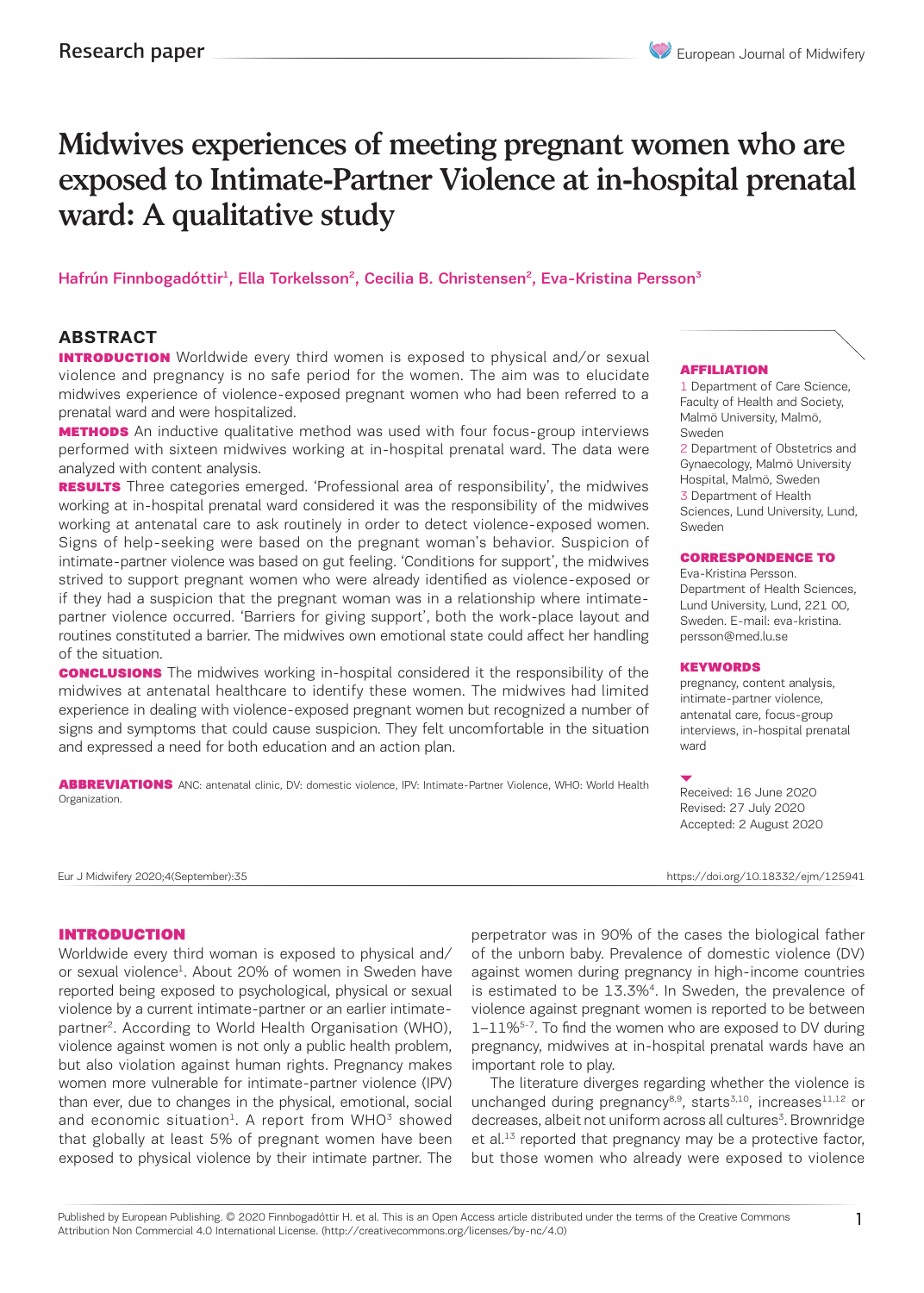# Midwives experiences of meeting pregnant women who are exposed to Intimate-Partner Violence at in-hospital prenatal ward: A qualitative study

### Hafrún Finnbogadóttir<sup>1</sup>, Ella Torkelsson<sup>2</sup>, Cecilia B. Christensen<sup>2</sup>, Eva-Kristina Persson<sup>3</sup>

## **ABSTRACT**

**INTRODUCTION** Worldwide every third women is exposed to physical and/or sexual violence and pregnancy is no safe period for the women. The aim was to elucidate midwives experience of violence-exposed pregnant women who had been referred to a prenatal ward and were hospitalized.

**METHODS** An inductive qualitative method was used with four focus-group interviews performed with sixteen midwives working at in-hospital prenatal ward. The data were analyzed with content analysis.

**RESULTS** Three categories emerged. 'Professional area of responsibility', the midwives working at in-hospital prenatal ward considered it was the responsibility of the midwives working at antenatal care to ask routinely in order to detect violence-exposed women. Signs of help-seeking were based on the pregnant woman's behavior. Suspicion of intimate-partner violence was based on gut feeling. 'Conditions for support', the midwives strived to support pregnant women who were already identified as violence-exposed or if they had a suspicion that the pregnant woman was in a relationship where intimatepartner violence occurred. 'Barriers for giving support', both the work-place layout and routines constituted a barrier. The midwives own emotional state could affect her handling of the situation.

**CONCLUSIONS** The midwives working in-hospital considered it the responsibility of the midwives at antenatal healthcare to identify these women. The midwives had limited experience in dealing with violence-exposed pregnant women but recognized a number of signs and symptoms that could cause suspicion. They felt uncomfortable in the situation and expressed a need for both education and an action plan.

ABBREVIATIONS ANC: antenatal clinic, DV: domestic violence, IPV: Intimate-Partner Violence, WHO: World Health Organization.

#### AFFILIATION

1 Department of Care Science, Faculty of Health and Society, Malmö University, Malmö, Sweden

2 Department of Obstetrics and Gynaecology, Malmö University

Hospital, Malmö, Sweden

3 Department of Health Sciences, Lund University, Lund, Sweden

#### CORRESPONDENCE TO

Eva-Kristina Persson. Department of Health Sciences, Lund University, Lund, 221 00, Sweden. E-mail: eva-kristina. persson@med.lu.se

#### **KEYWORDS**

pregnancy, content analysis, intimate-partner violence, antenatal care, focus-group interviews, in-hospital prenatal ward

Received: 16 June 2020 Revised: 27 July 2020 Accepted: 2 August 2020

Eur J Midwifery 2020;4(September):35 https://doi.org/10.18332/ejm/125941

#### INTRODUCTION

Worldwide every third woman is exposed to physical and/ or sexual violence<sup>1</sup>. About 20% of women in Sweden have reported being exposed to psychological, physical or sexual violence by a current intimate-partner or an earlier intimatepartner<sup>2</sup>. According to World Health Organisation (WHO), violence against women is not only a public health problem, but also violation against human rights. Pregnancy makes women more vulnerable for intimate-partner violence (IPV) than ever, due to changes in the physical, emotional, social and economic situation<sup>1</sup>. A report from  $WHO<sup>3</sup>$  showed that globally at least 5% of pregnant women have been exposed to physical violence by their intimate partner. The perpetrator was in 90% of the cases the biological father of the unborn baby. Prevalence of domestic violence (DV) against women during pregnancy in high-income countries is estimated to be 13.3%4. In Sweden, the prevalence of violence against pregnant women is reported to be between 1–11%5-7. To find the women who are exposed to DV during pregnancy, midwives at in-hospital prenatal wards have an important role to play.

The literature diverges regarding whether the violence is unchanged during pregnancy $8,9$ , starts $3,10$ , increases $11,12$  or decreases, albeit not uniform across all cultures<sup>3</sup>. Brownridge et al.<sup>13</sup> reported that pregnancy may be a protective factor, but those women who already were exposed to violence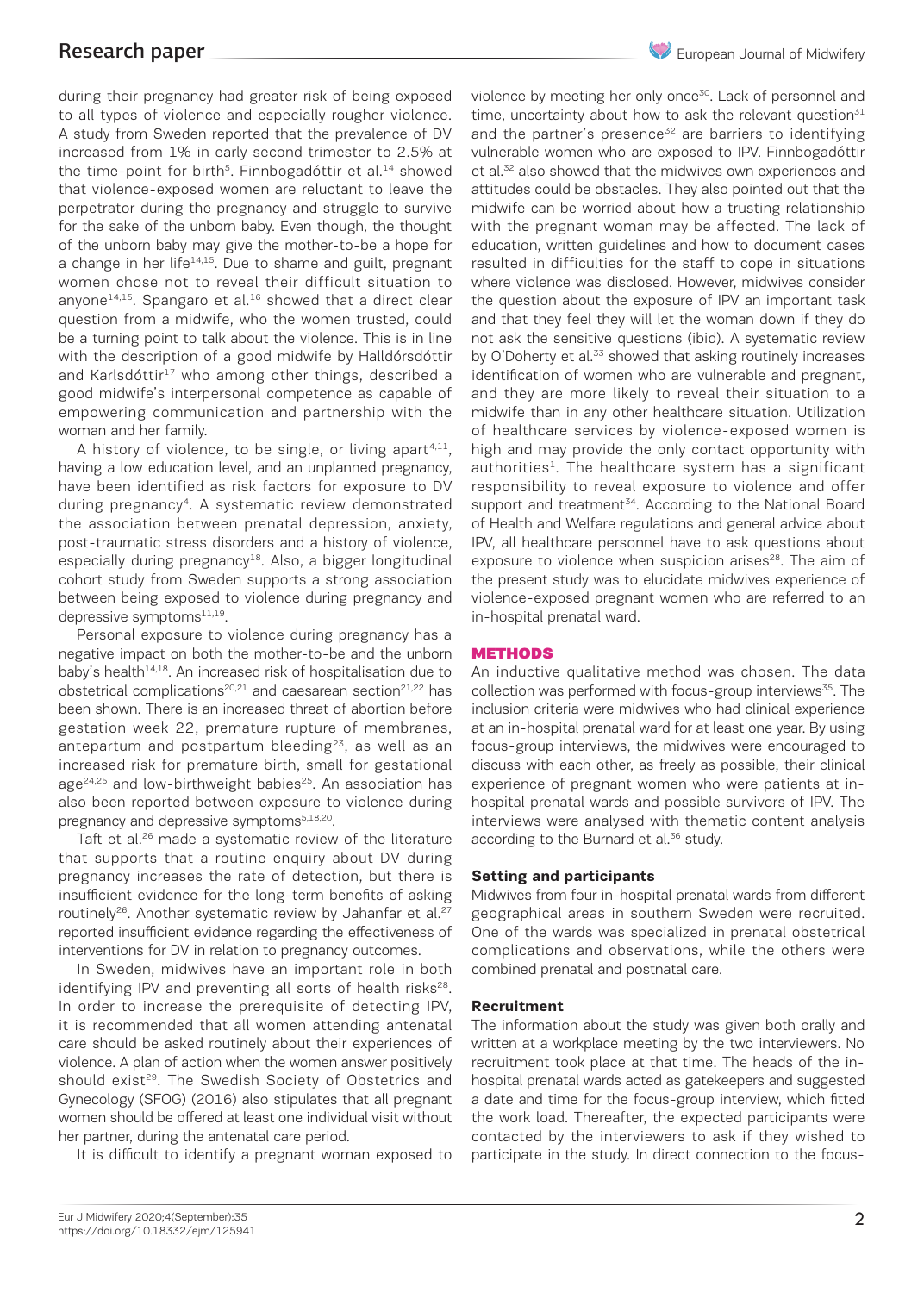during their pregnancy had greater risk of being exposed to all types of violence and especially rougher violence. A study from Sweden reported that the prevalence of DV increased from 1% in early second trimester to 2.5% at the time-point for birth<sup>5</sup>. Finnbogadóttir et al.<sup>14</sup> showed that violence-exposed women are reluctant to leave the perpetrator during the pregnancy and struggle to survive for the sake of the unborn baby. Even though, the thought of the unborn baby may give the mother-to-be a hope for a change in her life $14,15$ . Due to shame and guilt, pregnant women chose not to reveal their difficult situation to anyone<sup>14,15</sup>. Spangaro et al.<sup>16</sup> showed that a direct clear question from a midwife, who the women trusted, could be a turning point to talk about the violence. This is in line with the description of a good midwife by Halldórsdóttir and Karlsdóttir<sup>17</sup> who among other things, described a good midwife's interpersonal competence as capable of empowering communication and partnership with the woman and her family.

A history of violence, to be single, or living apart<sup>4,11</sup>, having a low education level, and an unplanned pregnancy, have been identified as risk factors for exposure to DV during pregnancy<sup>4</sup>. A systematic review demonstrated the association between prenatal depression, anxiety, post-traumatic stress disorders and a history of violence, especially during pregnancy $18$ . Also, a bigger longitudinal cohort study from Sweden supports a strong association between being exposed to violence during pregnancy and depressive symptom $s^{11,19}$ .

Personal exposure to violence during pregnancy has a negative impact on both the mother-to-be and the unborn baby's health<sup>14,18</sup>. An increased risk of hospitalisation due to obstetrical complications<sup>20,21</sup> and caesarean section<sup>21,22</sup> has been shown. There is an increased threat of abortion before gestation week 22, premature rupture of membranes, antepartum and postpartum bleeding<sup>23</sup>, as well as an increased risk for premature birth, small for gestational  $age<sup>24,25</sup>$  and low-birthweight babies<sup>25</sup>. An association has also been reported between exposure to violence during pregnancy and depressive symptoms<sup>5,18,20</sup>.

Taft et al.<sup>26</sup> made a systematic review of the literature that supports that a routine enquiry about DV during pregnancy increases the rate of detection, but there is insufficient evidence for the long-term benefits of asking routinely<sup>26</sup>. Another systematic review by Jahanfar et al.<sup>27</sup> reported insufficient evidence regarding the effectiveness of interventions for DV in relation to pregnancy outcomes.

In Sweden, midwives have an important role in both identifying IPV and preventing all sorts of health risks<sup>28</sup>. In order to increase the prerequisite of detecting IPV, it is recommended that all women attending antenatal care should be asked routinely about their experiences of violence. A plan of action when the women answer positively should exist<sup>29</sup>. The Swedish Society of Obstetrics and Gynecology (SFOG) (2016) also stipulates that all pregnant women should be offered at least one individual visit without her partner, during the antenatal care period.

It is difficult to identify a pregnant woman exposed to

violence by meeting her only once<sup>30</sup>. Lack of personnel and time, uncertainty about how to ask the relevant question $31$ and the partner's presence<sup>32</sup> are barriers to identifying vulnerable women who are exposed to IPV. Finnbogadóttir et al.<sup>32</sup> also showed that the midwives own experiences and attitudes could be obstacles. They also pointed out that the midwife can be worried about how a trusting relationship with the pregnant woman may be affected. The lack of education, written guidelines and how to document cases resulted in difficulties for the staff to cope in situations where violence was disclosed. However, midwives consider the question about the exposure of IPV an important task and that they feel they will let the woman down if they do not ask the sensitive questions (ibid). A systematic review by O'Doherty et al.<sup>33</sup> showed that asking routinely increases identification of women who are vulnerable and pregnant, and they are more likely to reveal their situation to a midwife than in any other healthcare situation. Utilization of healthcare services by violence-exposed women is high and may provide the only contact opportunity with authorities<sup>1</sup>. The healthcare system has a significant responsibility to reveal exposure to violence and offer support and treatment<sup>34</sup>. According to the National Board of Health and Welfare regulations and general advice about IPV, all healthcare personnel have to ask questions about exposure to violence when suspicion arises<sup>28</sup>. The aim of the present study was to elucidate midwives experience of violence-exposed pregnant women who are referred to an in-hospital prenatal ward.

#### **METHODS**

An inductive qualitative method was chosen. The data collection was performed with focus-group interviews<sup>35</sup>. The inclusion criteria were midwives who had clinical experience at an in-hospital prenatal ward for at least one year. By using focus-group interviews, the midwives were encouraged to discuss with each other, as freely as possible, their clinical experience of pregnant women who were patients at inhospital prenatal wards and possible survivors of IPV. The interviews were analysed with thematic content analysis according to the Burnard et al.<sup>36</sup> study.

#### **Setting and participants**

Midwives from four in-hospital prenatal wards from different geographical areas in southern Sweden were recruited. One of the wards was specialized in prenatal obstetrical complications and observations, while the others were combined prenatal and postnatal care.

#### **Recruitment**

The information about the study was given both orally and written at a workplace meeting by the two interviewers. No recruitment took place at that time. The heads of the inhospital prenatal wards acted as gatekeepers and suggested a date and time for the focus-group interview, which fitted the work load. Thereafter, the expected participants were contacted by the interviewers to ask if they wished to participate in the study. In direct connection to the focus-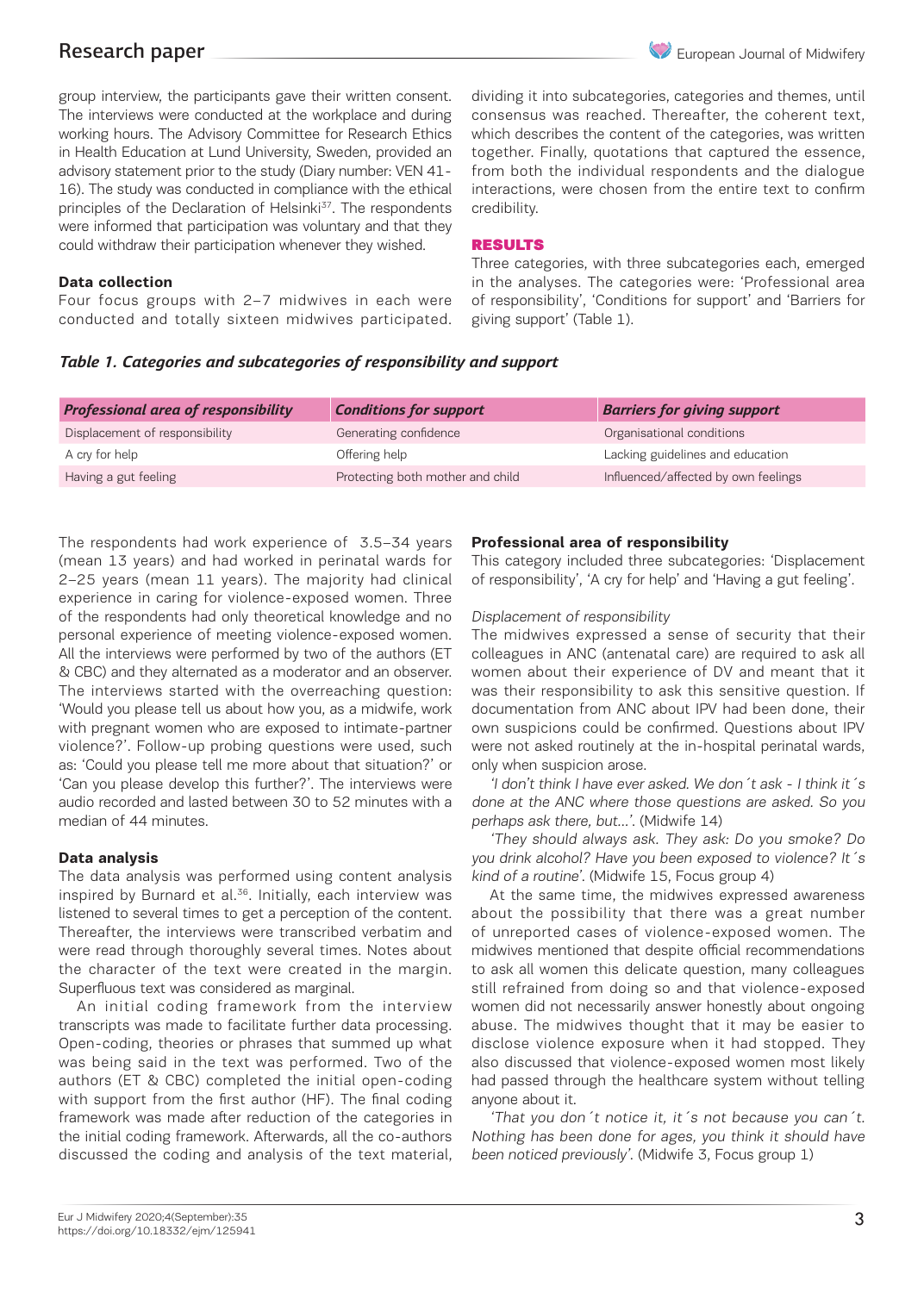

group interview, the participants gave their written consent. The interviews were conducted at the workplace and during working hours. The Advisory Committee for Research Ethics in Health Education at Lund University, Sweden, provided an advisory statement prior to the study (Diary number: VEN 41- 16). The study was conducted in compliance with the ethical principles of the Declaration of Helsinki<sup>37</sup>. The respondents were informed that participation was voluntary and that they could withdraw their participation whenever they wished.

### **Data collection**

Four focus groups with 2–7 midwives in each were conducted and totally sixteen midwives participated. dividing it into subcategories, categories and themes, until consensus was reached. Thereafter, the coherent text, which describes the content of the categories, was written together. Finally, quotations that captured the essence, from both the individual respondents and the dialogue interactions, were chosen from the entire text to confirm credibility.

#### RESULTS

Three categories, with three subcategories each, emerged in the analyses. The categories were: 'Professional area of responsibility', 'Conditions for support' and 'Barriers for giving support' (Table 1).

### *Table 1. Categories and subcategories of responsibility and support*

| <b>Professional area of responsibility</b> | <b>Conditions for support</b>    | <b>Barriers for giving support</b>  |
|--------------------------------------------|----------------------------------|-------------------------------------|
| Displacement of responsibility             | Generating confidence            | Organisational conditions           |
| A cry for help                             | Offering help                    | Lacking guidelines and education    |
| Having a gut feeling                       | Protecting both mother and child | Influenced/affected by own feelings |

The respondents had work experience of 3.5–34 years (mean 13 years) and had worked in perinatal wards for 2–25 years (mean 11 years). The majority had clinical experience in caring for violence-exposed women. Three of the respondents had only theoretical knowledge and no personal experience of meeting violence-exposed women. All the interviews were performed by two of the authors (ET & CBC) and they alternated as a moderator and an observer. The interviews started with the overreaching question: 'Would you please tell us about how you, as a midwife, work with pregnant women who are exposed to intimate-partner violence?'. Follow-up probing questions were used, such as: 'Could you please tell me more about that situation?' or 'Can you please develop this further?'. The interviews were audio recorded and lasted between 30 to 52 minutes with a median of 44 minutes.

#### **Data analysis**

The data analysis was performed using content analysis inspired by Burnard et al.<sup>36</sup>. Initially, each interview was listened to several times to get a perception of the content. Thereafter, the interviews were transcribed verbatim and were read through thoroughly several times. Notes about the character of the text were created in the margin. Superfluous text was considered as marginal.

An initial coding framework from the interview transcripts was made to facilitate further data processing. Open-coding, theories or phrases that summed up what was being said in the text was performed. Two of the authors (ET & CBC) completed the initial open-coding with support from the first author (HF). The final coding framework was made after reduction of the categories in the initial coding framework. Afterwards, all the co-authors discussed the coding and analysis of the text material,

### **Professional area of responsibility**

This category included three subcategories: 'Displacement of responsibility', 'A cry for help' and 'Having a gut feeling'.

#### Displacement of responsibility

The midwives expressed a sense of security that their colleagues in ANC (antenatal care) are required to ask all women about their experience of DV and meant that it was their responsibility to ask this sensitive question. If documentation from ANC about IPV had been done, their own suspicions could be confirmed. Questions about IPV were not asked routinely at the in-hospital perinatal wards, only when suspicion arose.

'I don't think I have ever asked. We don´t ask - I think it´s done at the ANC where those questions are asked. So you perhaps ask there, but…'. (Midwife 14)

'They should always ask. They ask: Do you smoke? Do you drink alcohol? Have you been exposed to violence? It´s kind of a routine'. (Midwife 15, Focus group 4)

At the same time, the midwives expressed awareness about the possibility that there was a great number of unreported cases of violence-exposed women. The midwives mentioned that despite official recommendations to ask all women this delicate question, many colleagues still refrained from doing so and that violence-exposed women did not necessarily answer honestly about ongoing abuse. The midwives thought that it may be easier to disclose violence exposure when it had stopped. They also discussed that violence-exposed women most likely had passed through the healthcare system without telling anyone about it.

'That you don´t notice it, it´s not because you can´t. Nothing has been done for ages, you think it should have been noticed previously'. (Midwife 3, Focus group 1)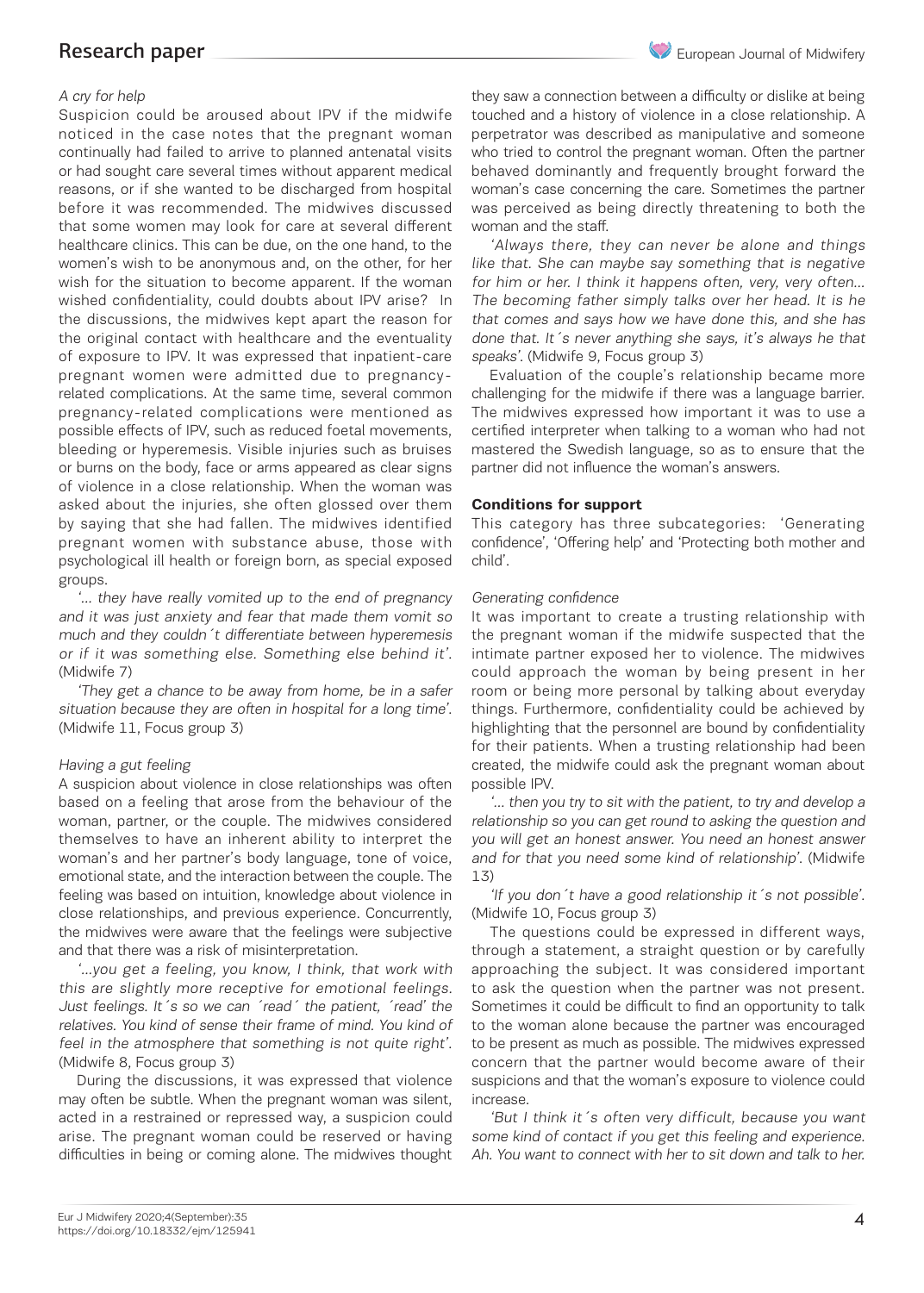#### A cry for help

Suspicion could be aroused about IPV if the midwife noticed in the case notes that the pregnant woman continually had failed to arrive to planned antenatal visits or had sought care several times without apparent medical reasons, or if she wanted to be discharged from hospital before it was recommended. The midwives discussed that some women may look for care at several different healthcare clinics. This can be due, on the one hand, to the women's wish to be anonymous and, on the other, for her wish for the situation to become apparent. If the woman wished confidentiality, could doubts about IPV arise? In the discussions, the midwives kept apart the reason for the original contact with healthcare and the eventuality of exposure to IPV. It was expressed that inpatient-care pregnant women were admitted due to pregnancyrelated complications. At the same time, several common pregnancy-related complications were mentioned as possible effects of IPV, such as reduced foetal movements, bleeding or hyperemesis. Visible injuries such as bruises or burns on the body, face or arms appeared as clear signs of violence in a close relationship. When the woman was asked about the injuries, she often glossed over them by saying that she had fallen. The midwives identified pregnant women with substance abuse, those with psychological ill health or foreign born, as special exposed groups.

'… they have really vomited up to the end of pregnancy and it was just anxiety and fear that made them vomit so much and they couldn´t differentiate between hyperemesis or if it was something else. Something else behind it'. (Midwife 7)

'They get a chance to be away from home, be in a safer situation because they are often in hospital for a long time'. (Midwife 11, Focus group 3)

#### Having a gut feeling

A suspicion about violence in close relationships was often based on a feeling that arose from the behaviour of the woman, partner, or the couple. The midwives considered themselves to have an inherent ability to interpret the woman's and her partner's body language, tone of voice, emotional state, and the interaction between the couple. The feeling was based on intuition, knowledge about violence in close relationships, and previous experience. Concurrently, the midwives were aware that the feelings were subjective and that there was a risk of misinterpretation.

'…you get a feeling, you know, I think, that work with this are slightly more receptive for emotional feelings. Just feelings. It´s so we can ´read´ the patient, ´read' the relatives. You kind of sense their frame of mind. You kind of feel in the atmosphere that something is not quite right'. (Midwife 8, Focus group 3)

During the discussions, it was expressed that violence may often be subtle. When the pregnant woman was silent, acted in a restrained or repressed way, a suspicion could arise. The pregnant woman could be reserved or having difficulties in being or coming alone. The midwives thought

they saw a connection between a difficulty or dislike at being touched and a history of violence in a close relationship. A perpetrator was described as manipulative and someone who tried to control the pregnant woman. Often the partner behaved dominantly and frequently brought forward the woman's case concerning the care. Sometimes the partner was perceived as being directly threatening to both the woman and the staff.

'Always there, they can never be alone and things like that. She can maybe say something that is negative for him or her. I think it happens often, very, very often… The becoming father simply talks over her head. It is he that comes and says how we have done this, and she has done that. It 's never anything she says, it's always he that speaks'. (Midwife 9, Focus group 3)

Evaluation of the couple's relationship became more challenging for the midwife if there was a language barrier. The midwives expressed how important it was to use a certified interpreter when talking to a woman who had not mastered the Swedish language, so as to ensure that the partner did not influence the woman's answers.

#### **Conditions for support**

This category has three subcategories: 'Generating confidence', 'Offering help' and 'Protecting both mother and child'.

#### Generating confidence

It was important to create a trusting relationship with the pregnant woman if the midwife suspected that the intimate partner exposed her to violence. The midwives could approach the woman by being present in her room or being more personal by talking about everyday things. Furthermore, confidentiality could be achieved by highlighting that the personnel are bound by confidentiality for their patients. When a trusting relationship had been created, the midwife could ask the pregnant woman about possible IPV.

'… then you try to sit with the patient, to try and develop a relationship so you can get round to asking the question and you will get an honest answer. You need an honest answer and for that you need some kind of relationship'. (Midwife 13)

'If you don´t have a good relationship it´s not possible'. (Midwife 10, Focus group 3)

The questions could be expressed in different ways, through a statement, a straight question or by carefully approaching the subject. It was considered important to ask the question when the partner was not present. Sometimes it could be difficult to find an opportunity to talk to the woman alone because the partner was encouraged to be present as much as possible. The midwives expressed concern that the partner would become aware of their suspicions and that the woman's exposure to violence could increase.

'But I think it´s often very difficult, because you want some kind of contact if you get this feeling and experience. Ah. You want to connect with her to sit down and talk to her.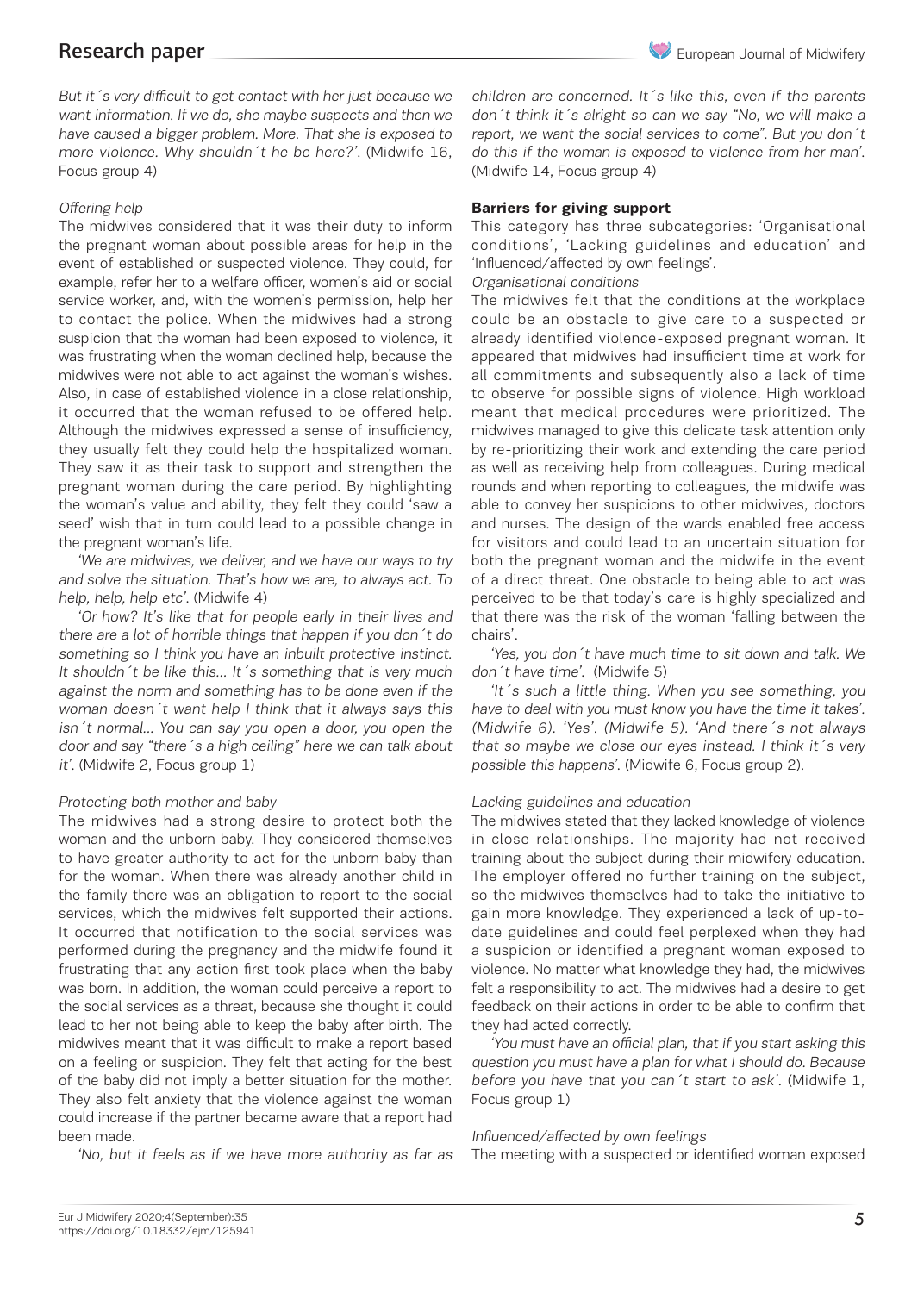But it´s very difficult to get contact with her just because we want information. If we do, she maybe suspects and then we have caused a bigger problem. More. That she is exposed to more violence. Why shouldn´t he be here?'. (Midwife 16, Focus group 4)

#### Offering help

The midwives considered that it was their duty to inform the pregnant woman about possible areas for help in the event of established or suspected violence. They could, for example, refer her to a welfare officer, women's aid or social service worker, and, with the women's permission, help her to contact the police. When the midwives had a strong suspicion that the woman had been exposed to violence, it was frustrating when the woman declined help, because the midwives were not able to act against the woman's wishes. Also, in case of established violence in a close relationship, it occurred that the woman refused to be offered help. Although the midwives expressed a sense of insufficiency, they usually felt they could help the hospitalized woman. They saw it as their task to support and strengthen the pregnant woman during the care period. By highlighting the woman's value and ability, they felt they could 'saw a seed' wish that in turn could lead to a possible change in the pregnant woman's life.

'We are midwives, we deliver, and we have our ways to try and solve the situation. That's how we are, to always act. To help, help, help etc'. (Midwife 4)

'Or how? It's like that for people early in their lives and there are a lot of horrible things that happen if you don´t do something so I think you have an inbuilt protective instinct. It shouldn't be like this... It's something that is very much against the norm and something has to be done even if the woman doesn´t want help I think that it always says this isn´t normal… You can say you open a door, you open the door and say "there´s a high ceiling" here we can talk about it'. (Midwife 2, Focus group 1)

#### Protecting both mother and baby

The midwives had a strong desire to protect both the woman and the unborn baby. They considered themselves to have greater authority to act for the unborn baby than for the woman. When there was already another child in the family there was an obligation to report to the social services, which the midwives felt supported their actions. It occurred that notification to the social services was performed during the pregnancy and the midwife found it frustrating that any action first took place when the baby was born. In addition, the woman could perceive a report to the social services as a threat, because she thought it could lead to her not being able to keep the baby after birth. The midwives meant that it was difficult to make a report based on a feeling or suspicion. They felt that acting for the best of the baby did not imply a better situation for the mother. They also felt anxiety that the violence against the woman could increase if the partner became aware that a report had been made.

'No, but it feels as if we have more authority as far as

children are concerned. It 's like this, even if the parents don´t think it´s alright so can we say "No, we will make a report, we want the social services to come". But you don´t do this if the woman is exposed to violence from her man'. (Midwife 14, Focus group 4)

#### **Barriers for giving support**

This category has three subcategories: 'Organisational conditions', 'Lacking guidelines and education' and 'Influenced/affected by own feelings'.

#### Organisational conditions

The midwives felt that the conditions at the workplace could be an obstacle to give care to a suspected or already identified violence-exposed pregnant woman. It appeared that midwives had insufficient time at work for all commitments and subsequently also a lack of time to observe for possible signs of violence. High workload meant that medical procedures were prioritized. The midwives managed to give this delicate task attention only by re-prioritizing their work and extending the care period as well as receiving help from colleagues. During medical rounds and when reporting to colleagues, the midwife was able to convey her suspicions to other midwives, doctors and nurses. The design of the wards enabled free access for visitors and could lead to an uncertain situation for both the pregnant woman and the midwife in the event of a direct threat. One obstacle to being able to act was perceived to be that today's care is highly specialized and that there was the risk of the woman 'falling between the chairs'.

'Yes, you don´t have much time to sit down and talk. We don´t have time'. (Midwife 5)

'It´s such a little thing. When you see something, you have to deal with you must know you have the time it takes'. (Midwife 6). 'Yes'. (Midwife 5). 'And there´s not always that so maybe we close our eyes instead. I think it's very possible this happens'. (Midwife 6, Focus group 2).

#### Lacking guidelines and education

The midwives stated that they lacked knowledge of violence in close relationships. The majority had not received training about the subject during their midwifery education. The employer offered no further training on the subject, so the midwives themselves had to take the initiative to gain more knowledge. They experienced a lack of up-todate guidelines and could feel perplexed when they had a suspicion or identified a pregnant woman exposed to violence. No matter what knowledge they had, the midwives felt a responsibility to act. The midwives had a desire to get feedback on their actions in order to be able to confirm that they had acted correctly.

'You must have an official plan, that if you start asking this question you must have a plan for what I should do. Because before you have that you can´t start to ask'. (Midwife 1, Focus group 1)

#### Influenced/affected by own feelings

The meeting with a suspected or identified woman exposed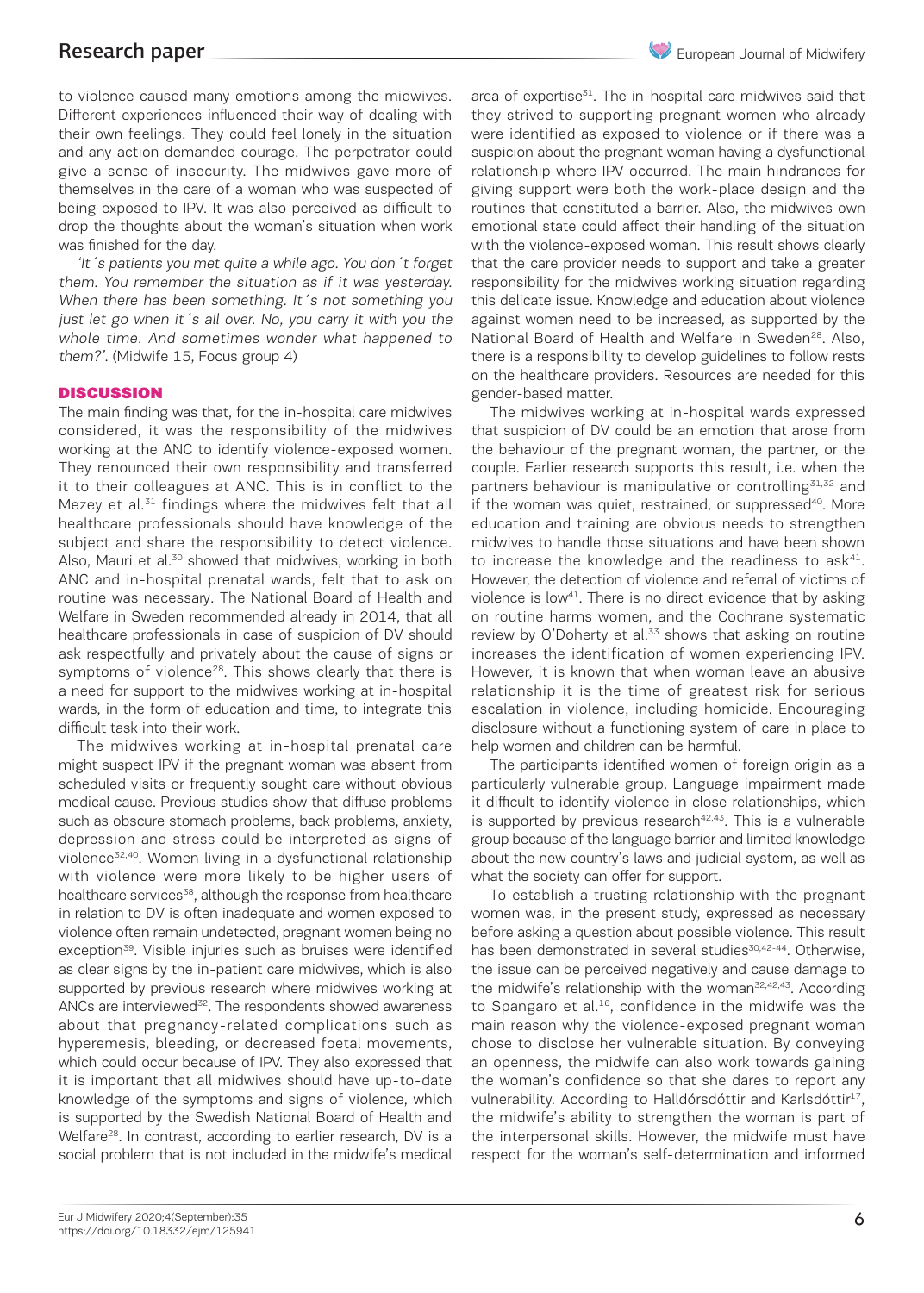to violence caused many emotions among the midwives. Different experiences influenced their way of dealing with their own feelings. They could feel lonely in the situation and any action demanded courage. The perpetrator could give a sense of insecurity. The midwives gave more of themselves in the care of a woman who was suspected of being exposed to IPV. It was also perceived as difficult to drop the thoughts about the woman's situation when work was finished for the day.

'It´s patients you met quite a while ago. You don´t forget them. You remember the situation as if it was yesterday. When there has been something. It's not something you just let go when it's all over. No, you carry it with you the whole time. And sometimes wonder what happened to them?'. (Midwife 15, Focus group 4)

#### **DISCUSSION**

The main finding was that, for the in-hospital care midwives considered, it was the responsibility of the midwives working at the ANC to identify violence-exposed women. They renounced their own responsibility and transferred it to their colleagues at ANC. This is in conflict to the Mezey et al.<sup>31</sup> findings where the midwives felt that all healthcare professionals should have knowledge of the subject and share the responsibility to detect violence. Also, Mauri et al.<sup>30</sup> showed that midwives, working in both ANC and in-hospital prenatal wards, felt that to ask on routine was necessary. The National Board of Health and Welfare in Sweden recommended already in 2014, that all healthcare professionals in case of suspicion of DV should ask respectfully and privately about the cause of signs or symptoms of violence<sup>28</sup>. This shows clearly that there is a need for support to the midwives working at in-hospital wards, in the form of education and time, to integrate this difficult task into their work.

The midwives working at in-hospital prenatal care might suspect IPV if the pregnant woman was absent from scheduled visits or frequently sought care without obvious medical cause. Previous studies show that diffuse problems such as obscure stomach problems, back problems, anxiety, depression and stress could be interpreted as signs of violence32,40. Women living in a dysfunctional relationship with violence were more likely to be higher users of healthcare services<sup>38</sup>, although the response from healthcare in relation to DV is often inadequate and women exposed to violence often remain undetected, pregnant women being no exception<sup>39</sup>. Visible injuries such as bruises were identified as clear signs by the in-patient care midwives, which is also supported by previous research where midwives working at ANCs are interviewed<sup>32</sup>. The respondents showed awareness about that pregnancy-related complications such as hyperemesis, bleeding, or decreased foetal movements, which could occur because of IPV. They also expressed that it is important that all midwives should have up-to-date knowledge of the symptoms and signs of violence, which is supported by the Swedish National Board of Health and Welfare<sup>28</sup>. In contrast, according to earlier research, DV is a social problem that is not included in the midwife's medical

area of expertise<sup>31</sup>. The in-hospital care midwives said that they strived to supporting pregnant women who already were identified as exposed to violence or if there was a suspicion about the pregnant woman having a dysfunctional relationship where IPV occurred. The main hindrances for giving support were both the work-place design and the routines that constituted a barrier. Also, the midwives own emotional state could affect their handling of the situation with the violence-exposed woman. This result shows clearly that the care provider needs to support and take a greater responsibility for the midwives working situation regarding this delicate issue. Knowledge and education about violence against women need to be increased, as supported by the National Board of Health and Welfare in Sweden<sup>28</sup>. Also, there is a responsibility to develop guidelines to follow rests on the healthcare providers. Resources are needed for this gender-based matter.

The midwives working at in-hospital wards expressed that suspicion of DV could be an emotion that arose from the behaviour of the pregnant woman, the partner, or the couple. Earlier research supports this result, i.e. when the partners behaviour is manipulative or controlling<sup>31,32</sup> and if the woman was quiet, restrained, or suppressed<sup>40</sup>. More education and training are obvious needs to strengthen midwives to handle those situations and have been shown to increase the knowledge and the readiness to  $ask<sup>41</sup>$ . However, the detection of violence and referral of victims of violence is low<sup>41</sup>. There is no direct evidence that by asking on routine harms women, and the Cochrane systematic review by O'Doherty et al.<sup>33</sup> shows that asking on routine increases the identification of women experiencing IPV. However, it is known that when woman leave an abusive relationship it is the time of greatest risk for serious escalation in violence, including homicide. Encouraging disclosure without a functioning system of care in place to help women and children can be harmful.

The participants identified women of foreign origin as a particularly vulnerable group. Language impairment made it difficult to identify violence in close relationships, which is supported by previous research<sup>42,43</sup>. This is a vulnerable group because of the language barrier and limited knowledge about the new country's laws and judicial system, as well as what the society can offer for support.

To establish a trusting relationship with the pregnant women was, in the present study, expressed as necessary before asking a question about possible violence. This result has been demonstrated in several studies<sup>30,42-44</sup>. Otherwise, the issue can be perceived negatively and cause damage to the midwife's relationship with the woman $52,42,43$ . According to Spangaro et al.<sup>16</sup>, confidence in the midwife was the main reason why the violence-exposed pregnant woman chose to disclose her vulnerable situation. By conveying an openness, the midwife can also work towards gaining the woman's confidence so that she dares to report any vulnerability. According to Halldórsdóttir and Karlsdóttir<sup>17</sup>, the midwife's ability to strengthen the woman is part of the interpersonal skills. However, the midwife must have respect for the woman's self-determination and informed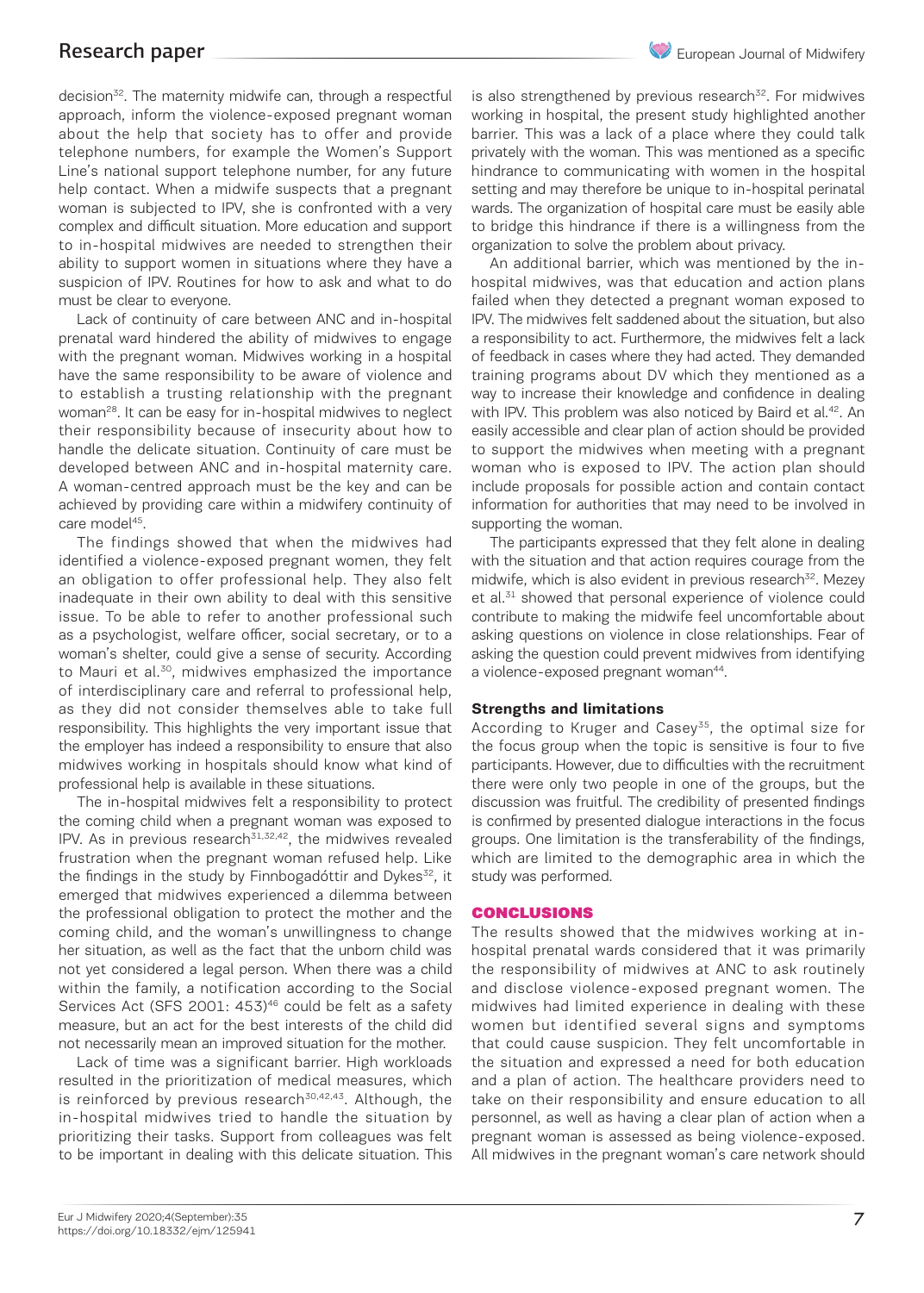decision<sup>32</sup>. The maternity midwife can, through a respectful approach, inform the violence-exposed pregnant woman about the help that society has to offer and provide telephone numbers, for example the Women's Support Line's national support telephone number, for any future help contact. When a midwife suspects that a pregnant woman is subjected to IPV, she is confronted with a very complex and difficult situation. More education and support to in-hospital midwives are needed to strengthen their ability to support women in situations where they have a suspicion of IPV. Routines for how to ask and what to do must be clear to everyone.

Lack of continuity of care between ANC and in-hospital prenatal ward hindered the ability of midwives to engage with the pregnant woman. Midwives working in a hospital have the same responsibility to be aware of violence and to establish a trusting relationship with the pregnant woman<sup>28</sup>. It can be easy for in-hospital midwives to neglect their responsibility because of insecurity about how to handle the delicate situation. Continuity of care must be developed between ANC and in-hospital maternity care. A woman-centred approach must be the key and can be achieved by providing care within a midwifery continuity of care model<sup>45</sup>.

The findings showed that when the midwives had identified a violence-exposed pregnant women, they felt an obligation to offer professional help. They also felt inadequate in their own ability to deal with this sensitive issue. To be able to refer to another professional such as a psychologist, welfare officer, social secretary, or to a woman's shelter, could give a sense of security. According to Mauri et al.<sup>30</sup>, midwives emphasized the importance of interdisciplinary care and referral to professional help, as they did not consider themselves able to take full responsibility. This highlights the very important issue that the employer has indeed a responsibility to ensure that also midwives working in hospitals should know what kind of professional help is available in these situations.

The in-hospital midwives felt a responsibility to protect the coming child when a pregnant woman was exposed to IPV. As in previous research $31,32,42$ , the midwives revealed frustration when the pregnant woman refused help. Like the findings in the study by Finnbogadóttir and Dykes $32$ , it emerged that midwives experienced a dilemma between the professional obligation to protect the mother and the coming child, and the woman's unwillingness to change her situation, as well as the fact that the unborn child was not yet considered a legal person. When there was a child within the family, a notification according to the Social Services Act (SFS 2001: 453)<sup>46</sup> could be felt as a safety measure, but an act for the best interests of the child did not necessarily mean an improved situation for the mother.

Lack of time was a significant barrier. High workloads resulted in the prioritization of medical measures, which is reinforced by previous research<sup>30,42,43</sup>. Although, the in-hospital midwives tried to handle the situation by prioritizing their tasks. Support from colleagues was felt to be important in dealing with this delicate situation. This

is also strengthened by previous research $32$ . For midwives working in hospital, the present study highlighted another barrier. This was a lack of a place where they could talk privately with the woman. This was mentioned as a specific hindrance to communicating with women in the hospital setting and may therefore be unique to in-hospital perinatal wards. The organization of hospital care must be easily able to bridge this hindrance if there is a willingness from the organization to solve the problem about privacy.

An additional barrier, which was mentioned by the inhospital midwives, was that education and action plans failed when they detected a pregnant woman exposed to IPV. The midwives felt saddened about the situation, but also a responsibility to act. Furthermore, the midwives felt a lack of feedback in cases where they had acted. They demanded training programs about DV which they mentioned as a way to increase their knowledge and confidence in dealing with IPV. This problem was also noticed by Baird et al.<sup>42</sup>. An easily accessible and clear plan of action should be provided to support the midwives when meeting with a pregnant woman who is exposed to IPV. The action plan should include proposals for possible action and contain contact information for authorities that may need to be involved in supporting the woman.

The participants expressed that they felt alone in dealing with the situation and that action requires courage from the midwife, which is also evident in previous research<sup>32</sup>. Mezey et al.<sup>31</sup> showed that personal experience of violence could contribute to making the midwife feel uncomfortable about asking questions on violence in close relationships. Fear of asking the question could prevent midwives from identifying a violence-exposed pregnant woman<sup>44</sup>.

#### **Strengths and limitations**

According to Kruger and Casey<sup>35</sup>, the optimal size for the focus group when the topic is sensitive is four to five participants. However, due to difficulties with the recruitment there were only two people in one of the groups, but the discussion was fruitful. The credibility of presented findings is confirmed by presented dialogue interactions in the focus groups. One limitation is the transferability of the findings, which are limited to the demographic area in which the study was performed.

#### CONCLUSIONS

The results showed that the midwives working at inhospital prenatal wards considered that it was primarily the responsibility of midwives at ANC to ask routinely and disclose violence-exposed pregnant women. The midwives had limited experience in dealing with these women but identified several signs and symptoms that could cause suspicion. They felt uncomfortable in the situation and expressed a need for both education and a plan of action. The healthcare providers need to take on their responsibility and ensure education to all personnel, as well as having a clear plan of action when a pregnant woman is assessed as being violence-exposed. All midwives in the pregnant woman's care network should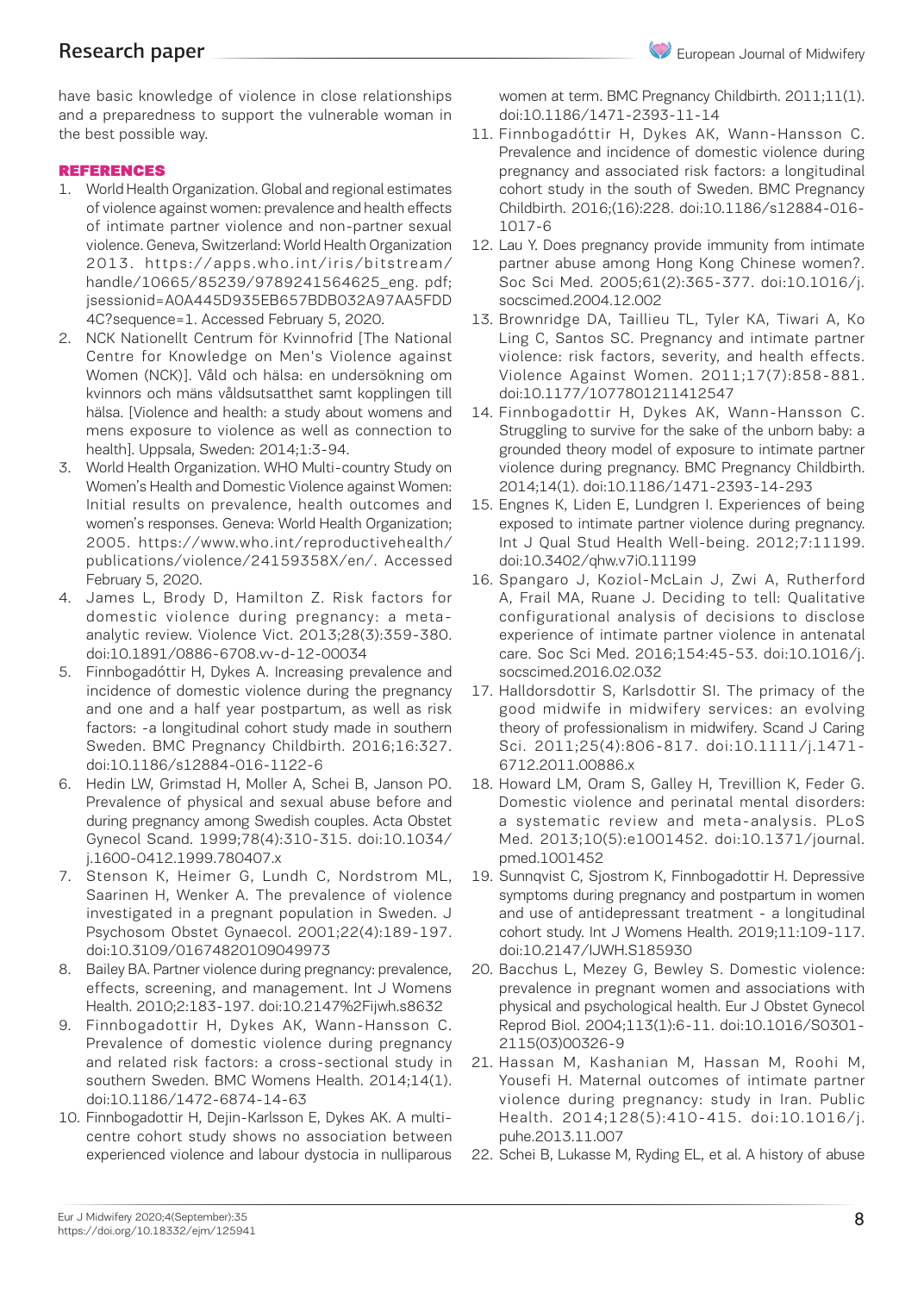have basic knowledge of violence in close relationships and a preparedness to support the vulnerable woman in the best possible way.

#### REFERENCES

- 1. World Health Organization. Global and regional estimates of violence against women: prevalence and health effects of intimate partner violence and non-partner sexual violence. Geneva, Switzerland: World Health Organization 2013. https://apps.who.int/iris/bitstream/ handle/10665/85239/9789241564625\_eng. pdf; jsessionid=A0A445D935EB657BDB032A97AA5FDD 4C?sequence=1. Accessed February 5, 2020.
- 2. NCK Nationellt Centrum för Kvinnofrid [The National Centre for Knowledge on Men's Violence against Women (NCK)]. Våld och hälsa: en undersökning om kvinnors och mäns våldsutsatthet samt kopplingen till hälsa. [Violence and health: a study about womens and mens exposure to violence as well as connection to health]. Uppsala, Sweden: 2014;1:3-94.
- 3. World Health Organization. WHO Multi-country Study on Women's Health and Domestic Violence against Women: Initial results on prevalence, health outcomes and women's responses. Geneva: World Health Organization; 2005. https://www.who.int/reproductivehealth/ publications/violence/24159358X/en/. Accessed February 5, 2020.
- 4. James L, Brody D, Hamilton Z. Risk factors for domestic violence during pregnancy: a metaanalytic review. Violence Vict. 2013;28(3):359-380. doi:10.1891/0886-6708.vv-d-12-00034
- 5. Finnbogadóttir H, Dykes A. Increasing prevalence and incidence of domestic violence during the pregnancy and one and a half year postpartum, as well as risk factors: -a longitudinal cohort study made in southern Sweden. BMC Pregnancy Childbirth. 2016;16:327. doi:10.1186/s12884-016-1122-6
- 6. Hedin LW, Grimstad H, Moller A, Schei B, Janson PO. Prevalence of physical and sexual abuse before and during pregnancy among Swedish couples. Acta Obstet Gynecol Scand. 1999;78(4):310-315. doi:10.1034/ j.1600-0412.1999.780407.x
- 7. Stenson K, Heimer G, Lundh C, Nordstrom ML, Saarinen H, Wenker A. The prevalence of violence investigated in a pregnant population in Sweden. J Psychosom Obstet Gynaecol. 2001;22(4):189-197. doi:10.3109/01674820109049973
- 8. Bailey BA. Partner violence during pregnancy: prevalence, effects, screening, and management. Int J Womens Health. 2010;2:183-197. doi:10.2147%2Fijwh.s8632
- 9. Finnbogadottir H, Dykes AK, Wann-Hansson C. Prevalence of domestic violence during pregnancy and related risk factors: a cross-sectional study in southern Sweden. BMC Womens Health. 2014;14(1). doi:10.1186/1472-6874-14-63
- 10. Finnbogadottir H, Dejin-Karlsson E, Dykes AK. A multicentre cohort study shows no association between experienced violence and labour dystocia in nulliparous

women at term. BMC Pregnancy Childbirth. 2011;11(1). doi:10.1186/1471-2393-11-14

- 11. Finnbogadóttir H, Dykes AK, Wann-Hansson C. Prevalence and incidence of domestic violence during pregnancy and associated risk factors: a longitudinal cohort study in the south of Sweden. BMC Pregnancy Childbirth. 2016;(16):228. doi:10.1186/s12884-016- 1017-6
- 12. Lau Y. Does pregnancy provide immunity from intimate partner abuse among Hong Kong Chinese women?. Soc Sci Med. 2005;61(2):365-377. doi:10.1016/j. socscimed.2004.12.002
- 13. Brownridge DA, Taillieu TL, Tyler KA, Tiwari A, Ko Ling C, Santos SC. Pregnancy and intimate partner violence: risk factors, severity, and health effects. Violence Against Women. 2011;17(7):858-881. doi:10.1177/1077801211412547
- 14. Finnbogadottir H, Dykes AK, Wann-Hansson C. Struggling to survive for the sake of the unborn baby: a grounded theory model of exposure to intimate partner violence during pregnancy. BMC Pregnancy Childbirth. 2014;14(1). doi:10.1186/1471-2393-14-293
- 15. Engnes K, Liden E, Lundgren I. Experiences of being exposed to intimate partner violence during pregnancy. Int J Qual Stud Health Well-being. 2012;7:11199. doi:10.3402/qhw.v7i0.11199
- 16. Spangaro J, Koziol-McLain J, Zwi A, Rutherford A, Frail MA, Ruane J. Deciding to tell: Qualitative configurational analysis of decisions to disclose experience of intimate partner violence in antenatal care. Soc Sci Med. 2016;154:45-53. doi:10.1016/j. socscimed.2016.02.032
- 17. Halldorsdottir S, Karlsdottir SI. The primacy of the good midwife in midwifery services: an evolving theory of professionalism in midwifery. Scand J Caring Sci. 2011;25(4):806-817. doi:10.1111/j.1471- 6712.2011.00886.x
- 18. Howard LM, Oram S, Galley H, Trevillion K, Feder G. Domestic violence and perinatal mental disorders: a systematic review and meta-analysis. PLoS Med. 2013;10(5):e1001452. doi:10.1371/journal. pmed.1001452
- 19. Sunnqvist C, Sjostrom K, Finnbogadottir H. Depressive symptoms during pregnancy and postpartum in women and use of antidepressant treatment - a longitudinal cohort study. Int J Womens Health. 2019;11:109-117. doi:10.2147/IJWH.S185930
- 20. Bacchus L, Mezey G, Bewley S. Domestic violence: prevalence in pregnant women and associations with physical and psychological health. Eur J Obstet Gynecol Reprod Biol. 2004;113(1):6-11. doi:10.1016/S0301- 2115(03)00326-9
- 21. Hassan M, Kashanian M, Hassan M, Roohi M, Yousefi H. Maternal outcomes of intimate partner violence during pregnancy: study in Iran. Public Health. 2014;128(5):410-415. doi:10.1016/j. puhe.2013.11.007
- 22. Schei B, Lukasse M, Ryding EL, et al. A history of abuse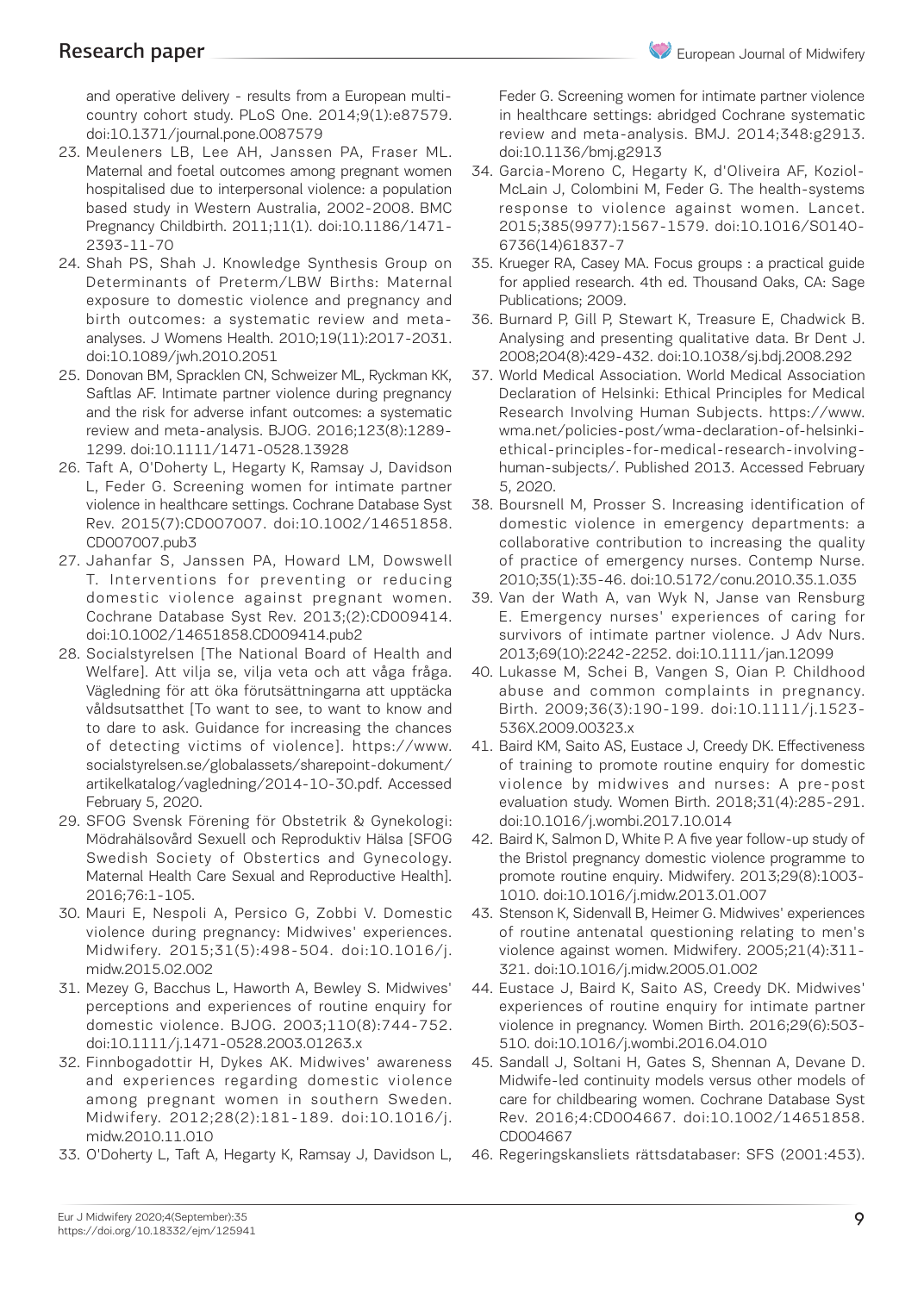and operative delivery - results from a European multicountry cohort study. PLoS One. 2014;9(1):e87579. doi:10.1371/journal.pone.0087579

- 23. Meuleners LB, Lee AH, Janssen PA, Fraser ML. Maternal and foetal outcomes among pregnant women hospitalised due to interpersonal violence: a population based study in Western Australia, 2002-2008. BMC Pregnancy Childbirth. 2011;11(1). doi:10.1186/1471- 2393-11-70
- 24. Shah PS, Shah J. Knowledge Synthesis Group on Determinants of Preterm/LBW Births: Maternal exposure to domestic violence and pregnancy and birth outcomes: a systematic review and metaanalyses. J Womens Health. 2010;19(11):2017-2031. doi:10.1089/jwh.2010.2051
- 25. Donovan BM, Spracklen CN, Schweizer ML, Ryckman KK, Saftlas AF. Intimate partner violence during pregnancy and the risk for adverse infant outcomes: a systematic review and meta-analysis. BJOG. 2016;123(8):1289- 1299. doi:10.1111/1471-0528.13928
- 26. Taft A, O'Doherty L, Hegarty K, Ramsay J, Davidson L, Feder G. Screening women for intimate partner violence in healthcare settings. Cochrane Database Syst Rev. 2015(7):CD007007. doi:10.1002/14651858. CD007007.pub3
- 27. Jahanfar S, Janssen PA, Howard LM, Dowswell T. Interventions for preventing or reducing domestic violence against pregnant women. Cochrane Database Syst Rev. 2013;(2):CD009414. doi:10.1002/14651858.CD009414.pub2
- 28. Socialstyrelsen [The National Board of Health and Welfare]. Att vilja se, vilja veta och att våga fråga. Vägledning för att öka förutsättningarna att upptäcka våldsutsatthet [To want to see, to want to know and to dare to ask. Guidance for increasing the chances of detecting victims of violence]. https://www. socialstyrelsen.se/globalassets/sharepoint-dokument/ artikelkatalog/vagledning/2014-10-30.pdf. Accessed February 5, 2020.
- 29. SFOG Svensk Förening för Obstetrik & Gynekologi: Mödrahälsovård Sexuell och Reproduktiv Hälsa [SFOG Swedish Society of Obstertics and Gynecology. Maternal Health Care Sexual and Reproductive Health]. 2016;76:1-105.
- 30. Mauri E, Nespoli A, Persico G, Zobbi V. Domestic violence during pregnancy: Midwives' experiences. Midwifery. 2015;31(5):498-504. doi:10.1016/j. midw.2015.02.002
- 31. Mezey G, Bacchus L, Haworth A, Bewley S. Midwives' perceptions and experiences of routine enquiry for domestic violence. BJOG. 2003;110(8):744-752. doi:10.1111/j.1471-0528.2003.01263.x
- 32. Finnbogadottir H, Dykes AK. Midwives' awareness and experiences regarding domestic violence among pregnant women in southern Sweden. Midwifery. 2012;28(2):181-189. doi:10.1016/j. midw.2010.11.010
- 33. O'Doherty L, Taft A, Hegarty K, Ramsay J, Davidson L,

Feder G. Screening women for intimate partner violence in healthcare settings: abridged Cochrane systematic review and meta-analysis. BMJ. 2014;348:g2913. doi:10.1136/bmj.g2913

- 34. Garcia-Moreno C, Hegarty K, d'Oliveira AF, Koziol-McLain J, Colombini M, Feder G. The health-systems response to violence against women. Lancet. 2015;385(9977):1567-1579. doi:10.1016/S0140- 6736(14)61837-7
- 35. Krueger RA, Casey MA. Focus groups : a practical guide for applied research. 4th ed. Thousand Oaks, CA: Sage Publications; 2009.
- 36. Burnard P, Gill P, Stewart K, Treasure E, Chadwick B. Analysing and presenting qualitative data. Br Dent J. 2008;204(8):429-432. doi:10.1038/sj.bdj.2008.292
- 37. World Medical Association. World Medical Association Declaration of Helsinki: Ethical Principles for Medical Research Involving Human Subjects. https://www. wma.net/policies-post/wma-declaration-of-helsinkiethical-principles-for-medical-research-involvinghuman-subjects/. Published 2013. Accessed February 5, 2020.
- 38. Boursnell M, Prosser S. Increasing identification of domestic violence in emergency departments: a collaborative contribution to increasing the quality of practice of emergency nurses. Contemp Nurse. 2010;35(1):35-46. doi:10.5172/conu.2010.35.1.035
- 39. Van der Wath A, van Wyk N, Janse van Rensburg E. Emergency nurses' experiences of caring for survivors of intimate partner violence. J Adv Nurs. 2013;69(10):2242-2252. doi:10.1111/jan.12099
- 40. Lukasse M, Schei B, Vangen S, Oian P. Childhood abuse and common complaints in pregnancy. Birth. 2009;36(3):190-199. doi:10.1111/j.1523- 536X.2009.00323.x
- 41. Baird KM, Saito AS, Eustace J, Creedy DK. Effectiveness of training to promote routine enquiry for domestic violence by midwives and nurses: A pre-post evaluation study. Women Birth. 2018;31(4):285-291. doi:10.1016/j.wombi.2017.10.014
- 42. Baird K, Salmon D, White P. A five year follow-up study of the Bristol pregnancy domestic violence programme to promote routine enquiry. Midwifery. 2013;29(8):1003- 1010. doi:10.1016/j.midw.2013.01.007
- 43. Stenson K, Sidenvall B, Heimer G. Midwives' experiences of routine antenatal questioning relating to men's violence against women. Midwifery. 2005;21(4):311- 321. doi:10.1016/j.midw.2005.01.002
- 44. Eustace J, Baird K, Saito AS, Creedy DK. Midwives' experiences of routine enquiry for intimate partner violence in pregnancy. Women Birth. 2016;29(6):503- 510. doi:10.1016/j.wombi.2016.04.010
- 45. Sandall J, Soltani H, Gates S, Shennan A, Devane D. Midwife-led continuity models versus other models of care for childbearing women. Cochrane Database Syst Rev. 2016;4:CD004667. doi:10.1002/14651858. CD004667
- 46. Regeringskansliets rättsdatabaser: SFS (2001:453).